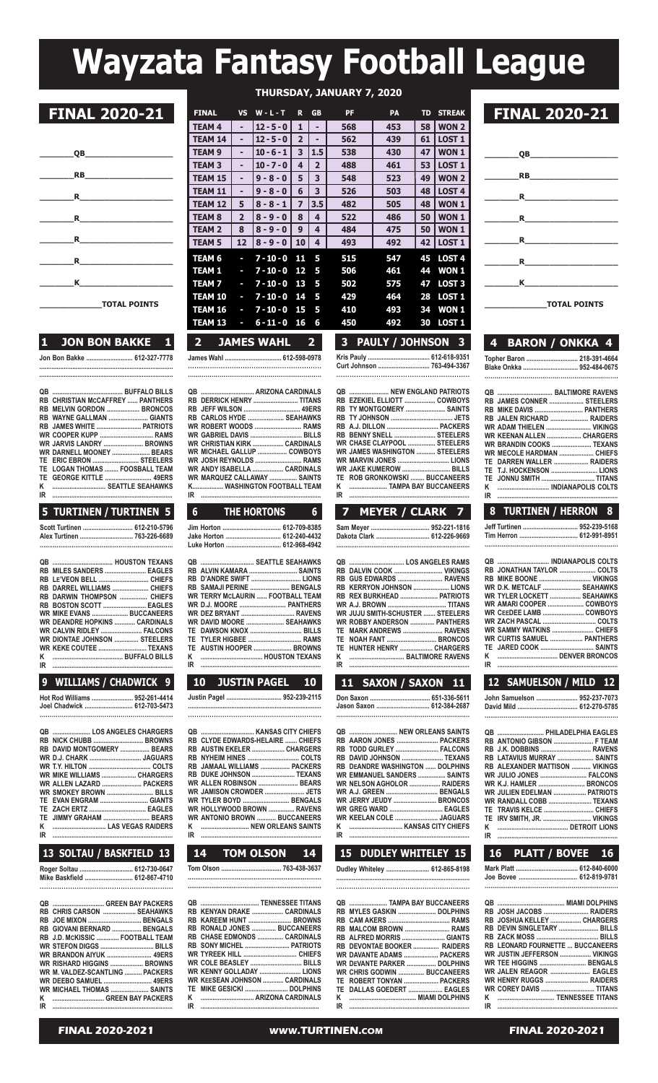# **Wayzata Fantasy Football League**

| QB                                                                                                                                                                                                                                                                                                           |
|--------------------------------------------------------------------------------------------------------------------------------------------------------------------------------------------------------------------------------------------------------------------------------------------------------------|
|                                                                                                                                                                                                                                                                                                              |
| $\mathbf{R}$ . The set of the set of the set of the set of the set of the set of the set of the set of the set of the set of the set of the set of the set of the set of the set of the set of the set of the set of the set of t                                                                            |
| $\mathbf R$ and $\mathbf R$ and $\mathbf R$ are set of $\mathbf R$ and $\mathbf R$ are set of $\mathbf R$ and $\mathbf R$ are set of $\mathbf R$ and $\mathbf R$ are set of $\mathbf R$ and $\mathbf R$ are set of $\mathbf R$ and $\mathbf R$ are set of $\mathbf R$ and $\mathbf R$ are set of $\mathbf R$ |
| $\mathbf R$                                                                                                                                                                                                                                                                                                  |
| $\mathbf R$                                                                                                                                                                                                                                                                                                  |
| K                                                                                                                                                                                                                                                                                                            |
| <b>TOTAL POINTS</b>                                                                                                                                                                                                                                                                                          |

## **1 JON BON BAKKE 1**

**Jon Bon Bakke ........................... 612-327-7778 .............................................................................**

|    | <b>RB CHRISTIAN MCCAFFREY  PANTHERS</b> |
|----|-----------------------------------------|
|    | RB MELVIN GORDON  BRONCOS               |
|    | RB WAYNE GALLMAN  GIANTS                |
|    |                                         |
|    |                                         |
|    | WR JARVIS LANDRY  BROWNS                |
|    | WR DARNELL MOONEY  BEARS                |
|    | TE ERIC EBRON  STEELERS                 |
|    | TE LOGAN THOMAS  FOOSBALL TEAM          |
| TF | GEORGE KITTLE <b>CONSIDERED</b> 49FRS   |
| κ  | SEATTLE SFAHAWKS                        |
| IR |                                         |

### **5 TURTINEN / TURTINEN 5**

| Scott Turtinen  612-210-5796<br>Alex Turtinen  763-226-6689 |  |
|-------------------------------------------------------------|--|
|                                                             |  |

| RB MILES SANDERS  EAGLES             |  |
|--------------------------------------|--|
| RB LE'VEON BELL  CHIEFS              |  |
| RB DARREL WILLIAMS  CHIEFS           |  |
| RB DARWIN THOMPSON  CHIEFS           |  |
| RB BOSTON SCOTT  EAGLES              |  |
| <b>WR MIKE EVANS  BUCCANEERS</b>     |  |
| <b>WR DEANDRE HOPKINS  CARDINALS</b> |  |
| <b>WR CALVIN RIDLEY  FALCONS</b>     |  |
| WR DIONTAE JOHNSON  STEELERS         |  |
| <b>WR KEKE COUTEE  TEXANS</b>        |  |
|                                      |  |
|                                      |  |
|                                      |  |

## **9 WILLIAMS / CHADWICK 9**

**..................................................................**

**hot Rod Williams ........................ 952-261-4414 Joel Chadwick ............................ 612-703-5473**

|    | QB  LOS ANGELES CHARGERS                            |  |
|----|-----------------------------------------------------|--|
|    | RB NICK CHUBB  BROWNS                               |  |
|    | RB DAVID MONTGOMERY  BEARS                          |  |
|    |                                                     |  |
|    |                                                     |  |
|    | WR MIKE WILLIAMS  CHARGERS                          |  |
|    | WR ALLEN LAZARD  PACKERS                            |  |
|    | WR SMOKEY BROWN  BILLS                              |  |
|    | TE EVAN ENGRAM  GIANTS                              |  |
|    | TE ZACH ERTZ  EAGLES                                |  |
|    | TE JIMMY GRAHAM  BEARS                              |  |
| ĸ  | <b>Example 2016</b> The U.S. V. L. AS VEGAS RAIDERS |  |
| IR |                                                     |  |
|    |                                                     |  |

## **13 SOLTAU / BASKFIELD 13**

**Roger soltau ............................... 612-730-0647 Mike Baskfield ............................ 612-867-4710 .............................................................**

|    | QB  GREEN BAY PACKERS            |
|----|----------------------------------|
|    | RB CHRIS CARSON  SEAHAWKS        |
|    | RB JOE MIXON  BENGALS            |
|    | RB GIOVANI BERNARD  BENGALS      |
|    | RB J.D. MCKISSIC  FOOTBALL TEAM  |
|    | <b>WR STEFON DIGGS  BILLS</b>    |
|    | <b>WR BRANDON AIYUK  49ERS</b>   |
|    | WR RISHARD HIGGINS  BROWNS       |
|    | WR M. VALDEZ-SCANTLING  PACKERS  |
|    | <b>WR DEEBO SAMUEL  49ERS</b>    |
|    | <b>WR MICHAEL THOMAS  SAINTS</b> |
|    | K  GREEN BAY PACKERS             |
| IR |                                  |
|    |                                  |

|  | AL 2020-2021 |  |
|--|--------------|--|
|  |              |  |

|                                   |                   |                 |                   |                         |                         | THURSDAY, JANUARY 7, 2020 |                          |     |                   |                             |
|-----------------------------------|-------------------|-----------------|-------------------|-------------------------|-------------------------|---------------------------|--------------------------|-----|-------------------|-----------------------------|
| <b>FINAL 2020-21</b>              | <b>FINAL</b>      | <b>VS</b>       | $W - L - T$       | $\mathbf{R}$            | <b>GB</b>               | <b>PF</b>                 | <b>PA</b>                | TD. | <b>STREAK</b>     | <b>FINAL 2020-21</b>        |
|                                   | <b>TEAM 4</b>     |                 | $12 - 5 - 0$      |                         |                         | 568                       | 453                      |     | 58   WON 2        |                             |
|                                   | <b>TEAM 14</b>    |                 | $12 - 5 - 0$      | $\overline{2}$          |                         | 562                       | 439                      | 61  | <b>LOST 1</b>     |                             |
| QB                                | <b>TEAM 9</b>     |                 | $10 - 6 - 1$      | $\overline{\mathbf{3}}$ | 1.5                     | 538                       | 430                      | 47  | WON <sub>1</sub>  | <b>QB</b>                   |
|                                   | <b>TEAM 3</b>     |                 | $10 - 7 - 0$      | 4                       | $\overline{2}$          | 488                       | 461                      | 53  | <b>LOST 1</b>     |                             |
| <b>RB</b>                         | <b>TEAM 15</b>    |                 | $9 - 8 - 0$       | 5                       | 3                       | 548                       | 523                      | 49  | WON <sub>2</sub>  | <b>RB</b>                   |
| R                                 | <b>TEAM 11</b>    |                 | $9 - 8 - 0$       | 6                       | 3                       | 526                       | 503                      | 48  | LOST <sub>4</sub> | R                           |
|                                   | <b>TEAM 12</b>    | 5               | $8 - 8 - 1$       | $\overline{ }$          | 3.5                     | 482                       | 505                      | 48  | WON <sub>1</sub>  |                             |
| R.                                | <b>TEAM 8</b>     |                 | $8 - 9 - 0$       | 8                       | 4                       | 522                       | 486                      | 50  | WON <sub>1</sub>  | R                           |
|                                   | <b>TEAM 2</b>     | 8               | $8 - 9 - 0$       | 9                       | 4                       | 484                       | 475                      | 50  | WON <sub>1</sub>  |                             |
| R.                                | <b>TEAM 5</b>     | 12 <sup>2</sup> | $ 8 - 9 - 0 $     | 10                      | $\overline{\mathbf{4}}$ | 493                       | 492                      |     | 42   LOST 1       | R                           |
| R.                                | TEAM <sub>6</sub> | $\sim$          | $7 - 10 - 0$      | -11                     | - 5                     | 515                       | 547                      |     | 45 LOST 4         | R.                          |
|                                   | <b>TEAM 1</b>     | J               | $7 - 10 - 0$ 12   |                         | - 5                     | 506                       | 461                      |     | 44 WON 1          |                             |
| K                                 | <b>TEAM 7</b>     | ı.              | $7 - 10 - 0$ 13   |                         | - 5                     | 502                       | 575                      |     | 47 LOST 3         | K                           |
|                                   | <b>TEAM 10</b>    | J               | $7 - 10 - 0$ 14   |                         | - 5                     | 429                       | 464                      |     | 28 LOST 1         |                             |
| <b>TOTAL POINTS</b>               | TEAM 16           | J               | $7 - 10 - 0$ 15   |                         | - 5                     | 410                       | 493                      |     | 34 WON 1          | <b>TOTAL POINTS</b>         |
|                                   | TEAM 13           | ı               | $6 - 11 - 0$ 16   |                         | - 6                     | 450                       | 492                      |     | 30 LOST 1         |                             |
| <b>JON BON BAKKE</b><br>$\bullet$ | $\overline{2}$    |                 | <b>JAMES WAHL</b> |                         | $\overline{2}$          | 3 <sup>7</sup>            | <b>PAULY / JOHNSON 3</b> |     |                   | <b>BARON / ONKKA 4</b><br>4 |

**James Wahl ................................. 612-598-0978 ............................................................. ....................................................................**

| RB DERRICK HENRY  TITANS     |  |
|------------------------------|--|
| RB JEFF WILSON  49ERS        |  |
| RB CARLOS HYDE  SEAHAWKS     |  |
| WR ROBERT WOODS  RAMS        |  |
|                              |  |
| WR CHRISTIAN KIRK  CARDINALS |  |
| WR MICHAEL GALLUP  COWBOYS   |  |
| WR JOSH REYNOLDS  RAMS       |  |
| WR ANDY ISABELLA  CARDINALS  |  |
| WR MARQUEZ CALLAWAY  SAINTS  |  |
| K WASHINGTON FOOTBALL TEAM   |  |
|                              |  |
|                              |  |

| 6 THE HORTONS 6             |  |
|-----------------------------|--|
| Jim Horton  612-709-8385    |  |
| Jake Horton  612-240-4432   |  |
| Luke Horton  612-968-4942   |  |
| QB   SEATTLE SEAHAWKS       |  |
| <b>PRAIVINKAMAPA</b> CAINTS |  |

I

|    | RB ALVIN KAMARA  SAINTS                 |  |
|----|-----------------------------------------|--|
|    | RB D'ANDRE SWIFT  LIONS                 |  |
|    | RB SAMAJI PERINE  BENGALS               |  |
|    | <b>WR TERRY MCLAURIN  FOOTBALL TEAM</b> |  |
|    | WR D.J. MOORE  PANTHERS                 |  |
|    | WR DEZ BRYANT  RAVENS                   |  |
|    | WR DAVID MOORE  SEAHAWKS                |  |
|    | TE DAWSON KNOX  BILLS                   |  |
|    | TE TYLER HIGBEE  RAMS                   |  |
|    | TE AUSTIN HOOPER  BROWNS                |  |
|    |                                         |  |
| IR |                                         |  |

| <b>JUSTIN PAGEL</b><br>11 SAXON / SAXON 11<br>12 SAMUELSON / MILD 12<br>10<br><b>10</b><br>John Samuelson  952-237-707<br>Jason Saxon  612-384-2687 |  |
|-----------------------------------------------------------------------------------------------------------------------------------------------------|--|
|                                                                                                                                                     |  |
|                                                                                                                                                     |  |
|                                                                                                                                                     |  |
| QB  PHILADELPHIA EAGLE                                                                                                                              |  |
| RB CLYDE EDWARDS-HELAIRE  CHIEFS<br>RB AARON JONES  PACKERS<br>RB ANTONIO GIBSON  F TEAI                                                            |  |
| RB AUSTIN EKELER  CHARGERS                                                                                                                          |  |
| RB DAVID JOHNSON  TEXANS<br>RB LATAVIUS MURRAY  SAINT                                                                                               |  |
| RB JAMAAL WILLIAMS  PACKERS<br><b>RB DEANDRE WASHINGTON  DOLPHINS</b><br><b>RB ALEXANDER MATTISON  VIKING</b>                                       |  |
| RB DUKE JOHNSON  TEXANS<br><b>WR EMMANUEL SANDERS  SAINTS</b><br>WR JULIO JONES  FALCON                                                             |  |
| WR ALLEN ROBINSON  BEARS<br><b>WR NELSON AGHOLOR  RAIDERS</b><br><b>WR K.J. HAMLER  BRONCO</b>                                                      |  |
| WR JAMISON CROWDER  JETS<br><b>WR A.J. GREEN  BENGALS</b><br>WR JULIEN EDELMAN  PATRIOT                                                             |  |
| WR TYLER BOYD  BENGALS<br>WR RANDALL COBB  TEXAN                                                                                                    |  |
| WR HOLLYWOOD BROWN  RAVENS                                                                                                                          |  |
| <b>WR ANTONIO BROWN  BUCCANEERS</b><br>WR KEELAN COLE  JAGUARS<br>TE IRV SMITH, JR.  VIKING                                                         |  |
|                                                                                                                                                     |  |
| IR<br>IR<br>IR                                                                                                                                      |  |

| <b>14 TOM OLSON 14</b>  |  |
|-------------------------|--|
| Tom Olson  763-438-3637 |  |
|                         |  |

| <b>QB  TENNESSEE TITANS</b>   |  |
|-------------------------------|--|
| RB KENYAN DRAKE  CARDINALS    |  |
| RB KAREEM HUNT  BROWNS        |  |
| RB RONALD JONES  BUCCANEERS   |  |
| RB CHASE EDMONDS  CARDINALS   |  |
| RB SONY MICHEL  PATRIOTS      |  |
| WR TYREEK HILL  CHIEFS        |  |
| <b>WR_COLE BEASLEY  BILLS</b> |  |
| WR KENNY GOLLADAY  LIONS      |  |
| WR KEESEAN JOHNSON  CARDINALS |  |
| TE MIKE GESICKI  DOLPHINS     |  |
| K  ARIZONA CARDINALS          |  |
|                               |  |
|                               |  |

|  | 3 PAULY / JOHNSON 3        |  |
|--|----------------------------|--|
|  | Kris Pauly  612-618-9351   |  |
|  | Curt Johnson  763-494-3367 |  |
|  |                            |  |

|    | QB  NEW ENGLAND PATRIOTS             |
|----|--------------------------------------|
|    | RB EZEKIEL ELLIOTT  COWBOYS          |
|    | RB TY MONTGOMERY  SAINTS             |
|    |                                      |
|    |                                      |
|    | RB BENNY SNELL  STEELERS             |
|    | <b>WR CHASE CLAYPOOL  STEELERS</b>   |
|    | <b>WR JAMES WASHINGTON  STEELERS</b> |
|    |                                      |
|    | WR JAKE KUMEROW  BILLS               |
|    | TE ROB GRONKOWSKI  BUCCANEERS        |
| ĸ  | TAMPA BAY BUCCANEERS                 |
| IR |                                      |

## **sam Meyer .................................. 952-221-1816**

| Dakota Clark  612-226-9669 |  |
|----------------------------|--|
|                            |  |

|   | RB GUS EDWARDS  RAVENS                  |
|---|-----------------------------------------|
|   | RB KERRYON JOHNSON  LIONS               |
|   | RB REX BURKHEAD  PATRIOTS               |
|   | <b>WR A.J. BROWN  TITANS</b>            |
|   | <b>WR JUJU SMITH-SCHUSTER  STEELERS</b> |
|   | <b>WR ROBBY ANDERSON  PANTHERS</b>      |
|   | TE MARK ANDREWS  RAVENS                 |
|   | TE NOAH FANT  BRONCOS                   |
|   | TE HUNTER HENRY  CHARGERS               |
|   |                                         |
| m |                                         |

| WR JUJU SMITH-SCHUSTER  STEELERS  | <b>VVR LEE</b>     |
|-----------------------------------|--------------------|
| WR ROBBY ANDERSON  PANTHERS       | WR ZAC             |
| TE MARK ANDREWS  RAVENS           | <b>WR SAN</b>      |
| TE NOAH FANT  BRONCOS             | <b>WR CUR</b>      |
| TE HUNTER HENRY  CHARGERS         | <b>TE JAR</b>      |
|                                   | K                  |
| <u>IR ……………………………………………………………</u> | $IR$               |
|                                   |                    |
|                                   |                    |
| 11 SAXON / SAXON 11               | $\vert$ 12 $\vert$ |
| Don Saxon  651-336-5611           | John Sa            |
| Jason Saxon  612-384-2687         | David Mi           |
|                                   |                    |

| <b>QB  NEW ORLEANS SAINTS</b>     |  |
|-----------------------------------|--|
| RB AARON JONES  PACKERS           |  |
| RB TODD GURLEY  FALCONS           |  |
| RB DAVID JOHNSON  TEXANS          |  |
| RB DEANDRE WASHINGTON  DOLPHINS   |  |
| WR EMMANUEL SANDERS  SAINTS       |  |
| <b>WR NELSON AGHOLOR  RAIDERS</b> |  |
| WR A.J. GREEN  BENGALS            |  |
| WR JERRY JEUDY  BRONCOS           |  |
|                                   |  |
| <b>WR KEELAN COLE  JAGUARS</b>    |  |
|                                   |  |
|                                   |  |
|                                   |  |

**dudley Whiteley ......................... 612-865-8198 .............................................................................**

|    | QB  TAMPA BAY BUCCANEERS    |  |
|----|-----------------------------|--|
|    | RB MYLES GASKIN  DOLPHINS   |  |
|    |                             |  |
|    | RB MALCOM BROWN  RAMS       |  |
|    | RB ALFRED MORRIS  GIANTS    |  |
|    | RB DEVONTAE BOOKER  RAIDERS |  |
|    | WR DAVANTE ADAMS  PACKERS   |  |
|    | WR DEVANTE PARKER  DOLPHINS |  |
|    | WR CHRIS GODWIN  BUCCANFERS |  |
|    | TE ROBERT TONYAN  PACKERS   |  |
|    | TE DALLAS GOEDERT  EAGLES   |  |
|    |                             |  |
| IR |                             |  |
|    |                             |  |



|  | 4 BARON / ONKKA 4 |  |
|--|-------------------|--|
|  |                   |  |

### **Topher Baron ................................ 218-391-46**<br>Blake Onkka .................................. 952-484-06 **Blake onkka ................................ 952-484-0675 ...................................................................**

|  | QB  BALTIMORE RAVENS      |
|--|---------------------------|
|  | RB JAMES CONNER  STEELERS |
|  | RB MIKE DAVIS  PANTHERS   |
|  | RB JALEN RICHARD  RAIDERS |
|  | WR ADAM THIELEN  VIKINGS  |
|  | WR KEENAN ALLEN  CHARGERS |
|  | WR BRANDIN COOKS  TEXANS  |
|  | WR MECOLE HARDMAN  CHIEFS |
|  | TE DARREN WALLER  RAIDERS |
|  | TE T.J. HOCKENSON  LIONS  |
|  | TE JONNU SMITH  TITANS    |
|  | K  INDIANAPOLIS COLTS     |
|  |                           |

### **6 THE HORTONS 6 7 MEYER / CLARK 7 8 TURTINEN / HERRON 8 Jeff Turtinen ................................ 952-239-5168 Tim herron .................................. 612-991-8951**

**.......................................................................**

|    | RB MIKE BOONE  VIKINGS            |
|----|-----------------------------------|
|    | WR D.K. METCALF  SEAHAWKS         |
|    | WR TYLER LOCKETT  SEAHAWKS        |
|    | WR AMARI COOPER  COWBOYS          |
|    |                                   |
|    |                                   |
|    |                                   |
|    | <b>WR CURTIS SAMUEL  PANTHERS</b> |
|    | TE JARED COOK  SAINTS             |
|    |                                   |
| IR |                                   |
|    |                                   |

| 12 SAMUELSON / MILD 12       |  |
|------------------------------|--|
| John Samuelson  952-237-7073 |  |

|  |  | David Mild  612-270-5785 |  |
|--|--|--------------------------|--|
|  |  |                          |  |

| QB  PHILADELPHIA EAGLES<br>RB ANTONIO GIBSON  F TEAM<br><b>RB J.K. DOBBINS  RAVENS</b><br>RB LATAVIUS MURRAY  SAINTS<br><b>RB ALEXANDER MATTISON  VIKINGS</b><br><b>WR JULIO JONES  FALCONS</b><br><b>WR K.J. HAMLER  BRONCOS</b><br><b>WR JULIEN EDELMAN  PATRIOTS</b><br>WR RANDALL COBB  TEXANS<br><b>EXAMPLE TROIT LIONS</b> |
|----------------------------------------------------------------------------------------------------------------------------------------------------------------------------------------------------------------------------------------------------------------------------------------------------------------------------------|

## **14 TOM OLSON 14 15 DUDLEY WHITELEY 15 16 PLATT / BOVEE 16**

**Mark Platt .................................... 612-840-6000 Joe Bovee .................................. 612-819-9781 .....................................................................**

| RB JOSH JACOBS  RAIDERS          |  |
|----------------------------------|--|
| RB JOSHUA KELLEY  CHARGERS       |  |
| RB DEVIN SINGLETARY  BILLS       |  |
|                                  |  |
| RB LEONARD FOURNETTE  BUCCANEERS |  |
| WR JUSTIN JEFFERSON  VIKINGS     |  |
| WR TEE HIGGINS  BENGALS          |  |
| WR JALEN REAGOR  EAGLES          |  |
| WR HENRY RUGGS  RAIDERS          |  |
|                                  |  |
| K …………………………… TENNESSEE TITANS   |  |
|                                  |  |